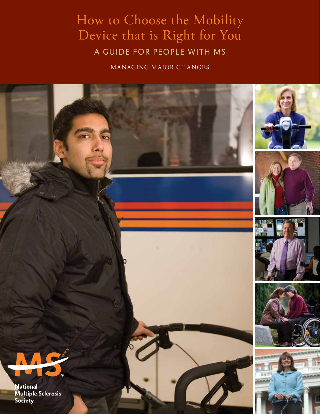# How to Choose the Mobility Device that is Right for You A guide for people with ms

managing major changes

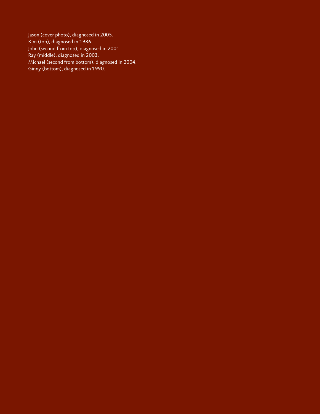Jason (cover photo), diagnosed in 2005. Kim (top), diagnosed in 1986. John (second from top), diagnosed in 2001. Ray (middle), diagnosed in 2003. Michael (second from bottom), diagnosed in 2004. Ginny (bottom), diagnosed in 1990.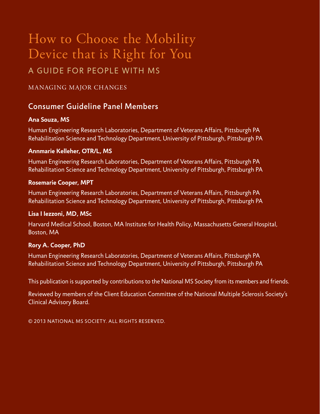# How to Choose the Mobility Device that is Right for You A guide for people with ms

#### managing major changes

## Consumer Guideline Panel Members

#### **Ana Souza, MS**

Human Engineering Research Laboratories, Department of Veterans Affairs, Pittsburgh PA Rehabilitation Science and Technology Department, University of Pittsburgh, Pittsburgh PA

#### **Annmarie Kelleher, OTR/L, MS**

Human Engineering Research Laboratories, Department of Veterans Affairs, Pittsburgh PA Rehabilitation Science and Technology Department, University of Pittsburgh, Pittsburgh PA

#### **Rosemarie Cooper, MPT**

Human Engineering Research Laboratories, Department of Veterans Affairs, Pittsburgh PA Rehabilitation Science and Technology Department, University of Pittsburgh, Pittsburgh PA

#### **Lisa I Iezzoni, MD, MSc**

Harvard Medical School, Boston, MA Institute for Health Policy, Massachusetts General Hospital, Boston, MA

#### **Rory A. Cooper, PhD**

Human Engineering Research Laboratories, Department of Veterans Affairs, Pittsburgh PA Rehabilitation Science and Technology Department, University of Pittsburgh, Pittsburgh PA

This publication is supported by contributions to the National MS Society from its members and friends.

Reviewed by members of the Client Education Committee of the National Multiple Sclerosis Society's Clinical Advisory Board.

© 2013 National MS Societ y. All rights reserved.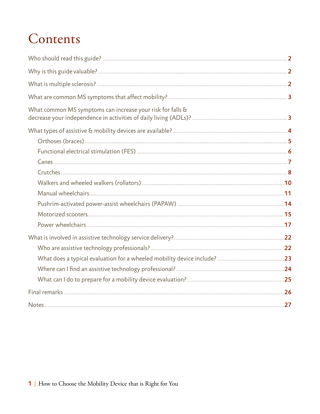# Contents

| What common MS symptoms can increase your risk for falls & |  |
|------------------------------------------------------------|--|
|                                                            |  |
|                                                            |  |
|                                                            |  |
|                                                            |  |
|                                                            |  |
|                                                            |  |
|                                                            |  |
|                                                            |  |
|                                                            |  |
|                                                            |  |
|                                                            |  |
|                                                            |  |
|                                                            |  |
|                                                            |  |
|                                                            |  |
|                                                            |  |
|                                                            |  |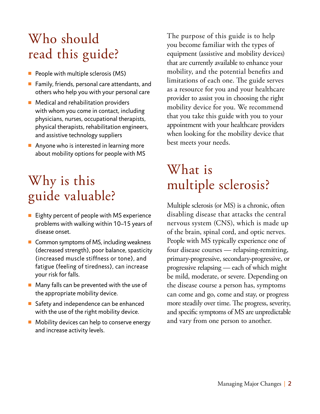# Who should read this guide?

- $\blacksquare$  People with multiple sclerosis (MS)
- $\blacksquare$  Family, friends, personal care attendants, and others who help you with your personal care
- $\blacksquare$  Medical and rehabilitation providers with whom you come in contact, including physicians, nurses, occupational therapists, physical therapists, rehabilitation engineers, and assistive technology suppliers
- Anyone who is interested in learning more about mobility options for people with MS

# Why is this guide valuable?

- $\blacksquare$  Eighty percent of people with MS experience problems with walking within 10–15 years of disease onset.
- $\blacksquare$  Common symptoms of MS, including weakness (decreased strength), poor balance, spasticity (increased muscle stiffness or tone), and fatigue (feeling of tiredness), can increase your risk for falls.
- $\blacksquare$  Many falls can be prevented with the use of the appropriate mobility device.
- Safety and independence can be enhanced with the use of the right mobility device.
- $\blacksquare$  Mobility devices can help to conserve energy and increase activity levels.

The purpose of this guide is to help you become familiar with the types of equipment (assistive and mobility devices) that are currently available to enhance your mobility, and the potential benefits and limitations of each one. The guide serves as a resource for you and your healthcare provider to assist you in choosing the right mobility device for you. We recommend that you take this guide with you to your appointment with your healthcare providers when looking for the mobility device that best meets your needs.

# What is multiple sclerosis?

Multiple sclerosis (or MS) is a chronic, often disabling disease that attacks the central nervous system (CNS), which is made up of the brain, spinal cord, and optic nerves. People with MS typically experience one of four disease courses — relapsing-remitting, primary-progressive, secondary-progressive, or progressive relapsing — each of which might be mild, moderate, or severe. Depending on the disease course a person has, symptoms can come and go, come and stay, or progress more steadily over time. The progress, severity, and specific symptoms of MS are unpredictable and vary from one person to another.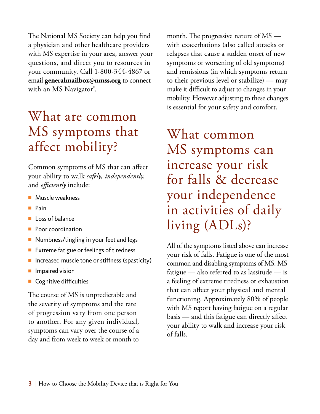The National MS Society can help you find a physician and other healthcare providers with MS expertise in your area, answer your questions, and direct you to resources in your community. Call 1-800-344-4867 or email **generalmailbox@nmss.org** to connect with an MS Navigator<sup>®</sup>.

# What are common MS symptoms that affect mobility?

Common symptoms of MS that can affect your ability to walk *safely, independently,*  and *efficiently* include:

- $\blacksquare$  Muscle weakness
- $\blacksquare$  Pain
- $\blacksquare$  Loss of balance
- **Poor coordination**
- **n** Numbness/tingling in your feet and legs
- Extreme fatigue or feelings of tiredness
- $\blacksquare$  Increased muscle tone or stiffness (spasticity)
- $\blacksquare$  Impaired vision
- **n** Cognitive difficulties

The course of MS is unpredictable and the severity of symptoms and the rate of progression vary from one person to another. For any given individual, symptoms can vary over the course of a day and from week to week or month to

month. The progressive nature of MS with exacerbations (also called attacks or relapses that cause a sudden onset of new symptoms or worsening of old symptoms) and remissions (in which symptoms return to their previous level or stabilize) — may make it difficult to adjust to changes in your mobility. However adjusting to these changes is essential for your safety and comfort.

What common MS symptoms can increase your risk for falls & decrease your independence in activities of daily living (ADLs)?

All of the symptoms listed above can increase your risk of falls. Fatigue is one of the most common and disabling symptoms of MS. MS fatigue — also referred to as lassitude — is a feeling of extreme tiredness or exhaustion that can affect your physical and mental functioning. Approximately 80% of people with MS report having fatigue on a regular basis — and this fatigue can directly affect your ability to walk and increase your risk of falls.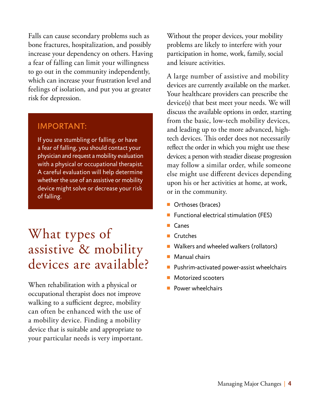Falls can cause secondary problems such as bone fractures, hospitalization, and possibly increase your dependency on others. Having a fear of falling can limit your willingness to go out in the community independently, which can increase your frustration level and feelings of isolation, and put you at greater risk for depression.

## Important:

If you are stumbling or falling, or have a fear of falling, you should contact your physician and request a mobility evaluation with a physical or occupational therapist. A careful evaluation will help determine whether the use of an assistive or mobility device might solve or decrease your risk of falling.

# What types of assistive & mobility devices are available?

When rehabilitation with a physical or occupational therapist does not improve walking to a sufficient degree, mobility can often be enhanced with the use of a mobility device. Finding a mobility device that is suitable and appropriate to your particular needs is very important. Without the proper devices, your mobility problems are likely to interfere with your participation in home, work, family, social and leisure activities.

A large number of assistive and mobility devices are currently available on the market. Your healthcare providers can prescribe the device(s) that best meet your needs. We will discuss the available options in order, starting from the basic, low-tech mobility devices, and leading up to the more advanced, hightech devices. This order does not necessarily reflect the order in which you might use these devices; a person with steadier disease progression may follow a similar order, while someone else might use different devices depending upon his or her activities at home, at work, or in the community.

- Orthoses (braces)
- Functional electrical stimulation (FES)
- $\blacksquare$  Canes
- **Crutches**
- Walkers and wheeled walkers (rollators)
- Manual chairs
- Pushrim-activated power-assist wheelchairs
- Motorized scooters
- Power wheelchairs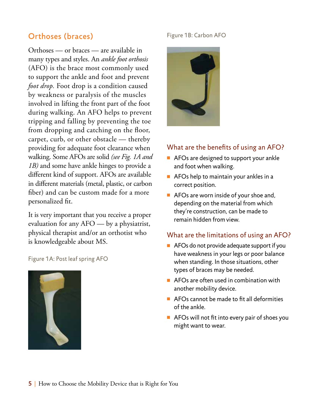## Orthoses (braces)

Orthoses — or braces — are available in many types and styles. An *ankle foot orthosis* (AFO) is the brace most commonly used to support the ankle and foot and prevent *foot drop*. Foot drop is a condition caused by weakness or paralysis of the muscles involved in lifting the front part of the foot during walking. An AFO helps to prevent tripping and falling by preventing the toe from dropping and catching on the floor, carpet, curb, or other obstacle — thereby providing for adequate foot clearance when walking. Some AFOs are solid *(see Fig. 1A and 1B)* and some have ankle hinges to provide a different kind of support. AFOs are available in different materials (metal, plastic, or carbon fiber) and can be custom made for a more personalized fit.

It is very important that you receive a proper evaluation for any AFO — by a physiatrist, physical therapist and/or an orthotist who is knowledgeable about MS.

Figure 1A: Post leaf spring AFO



#### Figure 1B: Carbon AFO



#### What are the benefits of using an AFO?

- $\blacksquare$  AFOs are designed to support your ankle and foot when walking.
- $\blacksquare$  AFOs help to maintain your ankles in a correct position.
- $\blacksquare$  AFOs are worn inside of your shoe and, depending on the material from which they're construction, can be made to remain hidden from view.

#### What are the limitations of using an AFO?

- $\blacksquare$  AFOs do not provide adequate support if you have weakness in your legs or poor balance when standing. In those situations, other types of braces may be needed.
- $\blacksquare$  AFOs are often used in combination with another mobility device.
- $\blacksquare$  AFOs cannot be made to fit all deformities of the ankle.
- $\blacksquare$  AFOs will not fit into every pair of shoes you might want to wear.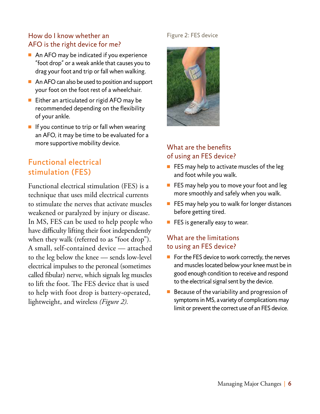### How do I know whether an AFO is the right device for me?

- $\blacksquare$  An AFO may be indicated if you experience "foot drop" or a weak ankle that causes you to drag your foot and trip or fall when walking.
- $\blacksquare$  An AFO can also be used to position and support your foot on the foot rest of a wheelchair.
- $\blacksquare$  Either an articulated or rigid AFO may be recommended depending on the flexibility of your ankle.
- $\blacksquare$  If you continue to trip or fall when wearing an AFO, it may be time to be evaluated for a more supportive mobility device.

## Functional electrical stimulation (FES)

Functional electrical stimulation (FES) is a technique that uses mild electrical currents to stimulate the nerves that activate muscles weakened or paralyzed by injury or disease. In MS, FES can be used to help people who have difficulty lifting their foot independently when they walk (referred to as "foot drop"). A small, self-contained device — attached to the leg below the knee — sends low-level electrical impulses to the peroneal (sometimes called fibular) nerve, which signals leg muscles to lift the foot. The FES device that is used to help with foot drop is battery-operated, lightweight, and wireless *(Figure 2).* 

#### Figure 2: FES device



## What are the benefits of using an FES device?

- $\blacksquare$  FES may help to activate muscles of the leg and foot while you walk.
- $\blacksquare$  FES may help you to move your foot and leg more smoothly and safely when you walk.
- $\blacksquare$  FES may help you to walk for longer distances before getting tired.
- $\blacksquare$  FES is generally easy to wear.

## What are the limitations to using an FES device?

- $\blacksquare$  For the FES device to work correctly, the nerves and muscles located below your knee must be in good enough condition to receive and respond to the electrical signal sent by the device.
- $\blacksquare$  Because of the variability and progression of symptoms in MS, a variety of complications may limit or prevent the correct use of an FES device.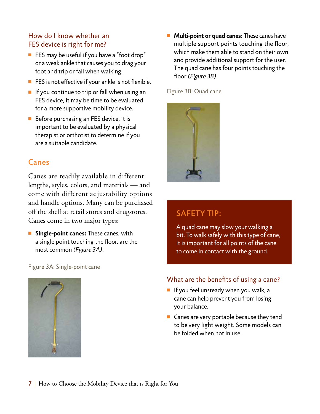### How do I know whether an FES device is right for me?

- $\blacksquare$  FES may be useful if you have a "foot drop" or a weak ankle that causes you to drag your foot and trip or fall when walking.
- $\blacksquare$  FES is not effective if your ankle is not flexible.
- $\blacksquare$  If you continue to trip or fall when using an FES device, it may be time to be evaluated for a more supportive mobility device.
- $\blacksquare$  Before purchasing an FES device, it is important to be evaluated by a physical therapist or orthotist to determine if you are a suitable candidate.

## Canes

Canes are readily available in different lengths, styles, colors, and materials — and come with different adjustability options and handle options. Many can be purchased off the shelf at retail stores and drugstores. Canes come in two major types:

**n** Single-point canes: These canes, with a single point touching the floor, are the most common *(Figure 3A).*

Figure 3A: Single-point cane



**Multi-point or quad canes:** These canes have multiple support points touching the floor, which make them able to stand on their own and provide additional support for the user. The quad cane has four points touching the floor *(Figure 3B).*

Figure 3B: Quad cane



## SAFETY TIP:

A quad cane may slow your walking a bit. To walk safely with this type of cane, it is important for all points of the cane to come in contact with the ground.

#### What are the benefits of using a cane?

- $\blacksquare$  If you feel unsteady when you walk, a cane can help prevent you from losing your balance.
- $\blacksquare$  Canes are very portable because they tend to be very light weight. Some models can be folded when not in use.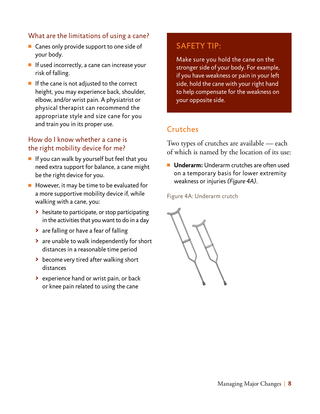### What are the limitations of using a cane?

- $\blacksquare$  Canes only provide support to one side of your body.
- $\blacksquare$  If used incorrectly, a cane can increase your risk of falling.
- $\blacksquare$  If the cane is not adjusted to the correct height, you may experience back, shoulder, elbow, and/or wrist pain. A physiatrist or physical therapist can recommend the appropriate style and size cane for you and train you in its proper use.

#### How do I know whether a cane is the right mobility device for me?

- $\blacksquare$  If you can walk by yourself but feel that you need extra support for balance, a cane might be the right device for you.
- $\blacksquare$  However, it may be time to be evaluated for a more supportive mobility device if, while walking with a cane, you:
	- **>** hesitate to participate, or stop participating in the activities that you want to do in a day
	- **>** are falling or have a fear of falling
	- **>** are unable to walk independently for short distances in a reasonable time period
	- **>** become very tired after walking short distances
	- **>** experience hand or wrist pain, or back or knee pain related to using the cane

## SAFETY TIP:

Make sure you hold the cane on the stronger side of your body. For example, if you have weakness or pain in your left side, hold the cane with your right hand to help compensate for the weakness on your opposite side.

## **Crutches**

Two types of crutches are available — each of which is named by the location of its use:

■ **Underarm:** Underarm crutches are often used on a temporary basis for lower extremity weakness or injuries *(Figure 4A).*

Figure 4A: Underarm crutch

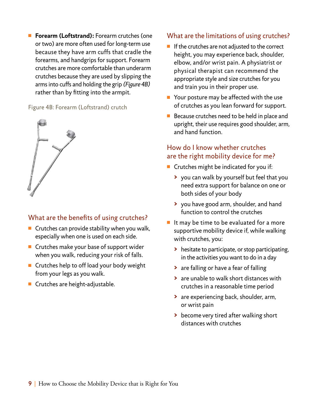■ **Forearm (Loftstrand):** Forearm crutches (one or two) are more often used for long-term use because they have arm cuffs that cradle the forearms, and handgrips for support. Forearm crutches are more comfortable than underarm crutches because they are used by slipping the arms into cuffs and holding the grip *(Figure 4B)* rather than by fitting into the armpit.

#### Figure 4B: Forearm (Loftstrand) crutch



### What are the benefits of using crutches?

- $\blacksquare$  Crutches can provide stability when you walk, especially when one is used on each side.
- $\blacksquare$  Crutches make your base of support wider when you walk, reducing your risk of falls.
- $\blacksquare$  Crutches help to off load your body weight from your legs as you walk.
- $\blacksquare$  Crutches are height-adjustable.

#### What are the limitations of using crutches?

- $\blacksquare$  If the crutches are not adjusted to the correct height, you may experience back, shoulder, elbow, and/or wrist pain. A physiatrist or physical therapist can recommend the appropriate style and size crutches for you and train you in their proper use.
- $\blacksquare$  Your posture may be affected with the use of crutches as you lean forward for support.
- $\blacksquare$  Because crutches need to be held in place and upright, their use requires good shoulder, arm, and hand function.

### How do I know whether crutches are the right mobility device for me?

- $\blacksquare$  Crutches might be indicated for you if:
	- **>** you can walk by yourself but feel that you need extra support for balance on one or both sides of your body
	- **>** you have good arm, shoulder, and hand function to control the crutches
- $\blacksquare$  It may be time to be evaluated for a more supportive mobility device if, while walking with crutches, you:
	- **>** hesitate to participate, or stop participating, in the activities you want to do in a day
	- **>** are falling or have a fear of falling
	- **>** are unable to walk short distances with crutches in a reasonable time period
	- **>** are experiencing back, shoulder, arm, or wrist pain
	- **>** become very tired after walking short distances with crutches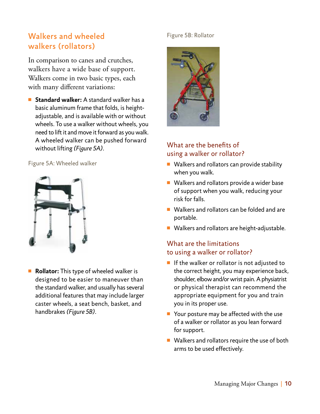## Walkers and wheeled walkers (rollators)

In comparison to canes and crutches, walkers have a wide base of support. Walkers come in two basic types, each with many different variations:

■ **Standard walker:** A standard walker has a basic aluminum frame that folds, is heightadjustable, and is available with or without wheels. To use a walker without wheels, you need to lift it and move it forward as you walk. A wheeled walker can be pushed forward without lifting *(Figure 5A).*

Figure 5A: Wheeled walker



**Rollator:** This type of wheeled walker is designed to be easier to maneuver than the standard walker, and usually has several additional features that may include larger caster wheels, a seat bench, basket, and handbrakes *(Figure 5B).*

#### Figure 5B: Rollator



### What are the benefits of using a walker or rollator?

- $\blacksquare$  Walkers and rollators can provide stability when you walk.
- $\blacksquare$  Walkers and rollators provide a wider base of support when you walk, reducing your risk for falls.
- $\blacksquare$  Walkers and rollators can be folded and are portable.
- Walkers and rollators are height-adjustable.

## What are the limitations to using a walker or rollator?

- $\blacksquare$  If the walker or rollator is not adjusted to the correct height, you may experience back, shoulder, elbow and/or wrist pain. A physiatrist or physical therapist can recommend the appropriate equipment for you and train you in its proper use.
- $\blacksquare$  Your posture may be affected with the use of a walker or rollator as you lean forward for support.
- $\blacksquare$  Walkers and rollators require the use of both arms to be used effectively.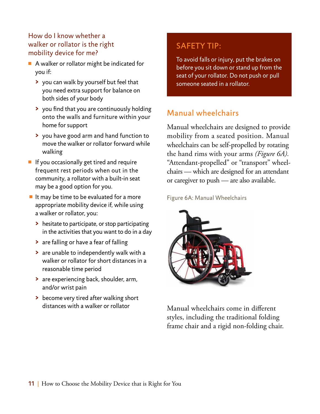### How do I know whether a walker or rollator is the right mobility device for me?

- $\blacksquare$  A walker or rollator might be indicated for you if:
	- **>** you can walk by yourself but feel that you need extra support for balance on both sides of your body
	- **>** you find that you are continuously holding onto the walls and furniture within your home for support
	- **>** you have good arm and hand function to move the walker or rollator forward while walking
- $\blacksquare$  If you occasionally get tired and require frequent rest periods when out in the community, a rollator with a built-in seat may be a good option for you.
- $\blacksquare$  It may be time to be evaluated for a more appropriate mobility device if, while using a walker or rollator, you:
	- **>** hesitate to participate, or stop participating in the activities that you want to do in a day
	- **>** are falling or have a fear of falling
	- **>** are unable to independently walk with a walker or rollator for short distances in a reasonable time period
	- **>** are experiencing back, shoulder, arm, and/or wrist pain
	- **>** become very tired after walking short distances with a walker or rollator

## SAFETY TIP:

To avoid falls or injury, put the brakes on before you sit down or stand up from the seat of your rollator. Do not push or pull someone seated in a rollator.

## Manual wheelchairs

Manual wheelchairs are designed to provide mobility from a seated position. Manual wheelchairs can be self-propelled by rotating the hand rims with your arms *(Figure 6A).* "Attendant-propelled" or "transport" wheelchairs — which are designed for an attendant or caregiver to push — are also available.

Figure 6A: Manual Wheelchairs



Manual wheelchairs come in different styles, including the traditional folding frame chair and a rigid non-folding chair.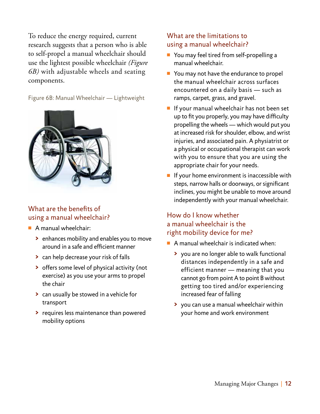To reduce the energy required, current research suggests that a person who is able to self-propel a manual wheelchair should use the lightest possible wheelchair *(Figure 6B)* with adjustable wheels and seating components.

Figure 6B: Manual Wheelchair — Lightweight



### What are the benefits of using a manual wheelchair?

- $\blacksquare$  A manual wheelchair:
	- **>** enhances mobility and enables you to move around in a safe and efficient manner
	- **>** can help decrease your risk of falls
	- **>** offers some level of physical activity (not exercise) as you use your arms to propel the chair
	- **>** can usually be stowed in a vehicle for transport
	- **>** requires less maintenance than powered mobility options

### What are the limitations to using a manual wheelchair?

- You may feel tired from self-propelling a manual wheelchair.
- $\blacksquare$  You may not have the endurance to propel the manual wheelchair across surfaces encountered on a daily basis — such as ramps, carpet, grass, and gravel.
- $\blacksquare$  If your manual wheelchair has not been set up to fit you properly, you may have difficulty propelling the wheels — which would put you at increased risk for shoulder, elbow, and wrist injuries, and associated pain. A physiatrist or a physical or occupational therapist can work with you to ensure that you are using the appropriate chair for your needs.
- $\blacksquare$  If your home environment is inaccessible with steps, narrow halls or doorways, or significant inclines, you might be unable to move around independently with your manual wheelchair.

## How do I know whether a manual wheelchair is the right mobility device for me?

- $\blacksquare$  A manual wheelchair is indicated when:
	- **>** you are no longer able to walk functional distances independently in a safe and efficient manner — meaning that you cannot go from point A to point B without getting too tired and/or experiencing increased fear of falling
	- **>** you can use a manual wheelchair within your home and work environment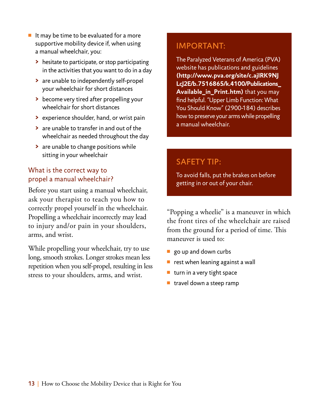- $\blacksquare$  It may be time to be evaluated for a more supportive mobility device if, when using a manual wheelchair, you:
	- **>** hesitate to participate, or stop participating in the activities that you want to do in a day
	- **>** are unable to independently self-propel your wheelchair for short distances
	- **>** become very tired after propelling your wheelchair for short distances
	- **>** experience shoulder, hand, or wrist pain
	- **>** are unable to transfer in and out of the wheelchair as needed throughout the day
	- **>** are unable to change positions while sitting in your wheelchair

## What is the correct way to propel a manual wheelchair?

Before you start using a manual wheelchair, ask your therapist to teach you how to correctly propel yourself in the wheelchair. Propelling a wheelchair incorrectly may lead to injury and/or pain in your shoulders, arms, and wrist.

While propelling your wheelchair, try to use long, smooth strokes. Longer strokes mean less repetition when you self-propel, resulting in less stress to your shoulders, arms, and wrist.

## Important:

The Paralyzed Veterans of America (PVA) website has publications and guidelines **(http://www.pva.org/site/c.ajIRK9NJ LcJ2E/b.7516865/k.4100/Publications\_ Available\_in\_Print.htm)** that you may find helpful. "Upper Limb Function: What You Should Know" (2900-184) describes how to preserve your arms while propelling a manual wheelchair.

## SAFETY TIP:

To avoid falls, put the brakes on before getting in or out of your chair.

"Popping a wheelie" is a maneuver in which the front tires of the wheelchair are raised from the ground for a period of time. This maneuver is used to:

- go up and down curbs
- rest when leaning against a wall
- $\blacksquare$  turn in a very tight space
- $\blacksquare$  travel down a steep ramp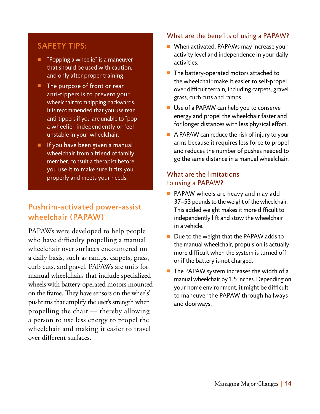## SAFETY TIPS:

- "Popping a wheelie" is a maneuver that should be used with caution, and only after proper training.
- The purpose of front or rear anti-tippers is to prevent your wheelchair from tipping backwards. It is recommended that you use rear anti-tippers if you are unable to "pop a wheelie" independently or feel unstable in your wheelchair.
- $\blacksquare$  If you have been given a manual wheelchair from a friend of family member, consult a therapist before you use it to make sure it fits you properly and meets your needs.

## Pushrim-activated power-assist wheelchair (PAPAW)

PAPAWs were developed to help people who have difficulty propelling a manual wheelchair over surfaces encountered on a daily basis, such as ramps, carpets, grass, curb cuts, and gravel. PAPAWs are units for manual wheelchairs that include specialized wheels with battery-operated motors mounted on the frame. They have sensors on the wheels' pushrims that amplify the user's strength when propelling the chair — thereby allowing a person to use less energy to propel the wheelchair and making it easier to travel over different surfaces.

#### What are the benefits of using a PAPAW?

- $\blacksquare$  When activated, PAPAWs may increase your activity level and independence in your daily activities.
- $\blacksquare$  The battery-operated motors attached to the wheelchair make it easier to self-propel over difficult terrain, including carpets, gravel, grass, curb cuts and ramps.
- $\blacksquare$  Use of a PAPAW can help you to conserve energy and propel the wheelchair faster and for longer distances with less physical effort.
- $\blacksquare$  A PAPAW can reduce the risk of injury to your arms because it requires less force to propel and reduces the number of pushes needed to go the same distance in a manual wheelchair.

## What are the limitations to using a PAPAW?

- **PAPAW** wheels are heavy and may add 37–53 pounds to the weight of the wheelchair. This added weight makes it more difficult to independently lift and stow the wheelchair in a vehicle.
- $\blacksquare$  Due to the weight that the PAPAW adds to the manual wheelchair, propulsion is actually more difficult when the system is turned off or if the battery is not charged.
- $\blacksquare$  The PAPAW system increases the width of a manual wheelchair by 1.5 inches. Depending on your home environment, it might be difficult to maneuver the PAPAW through hallways and doorways.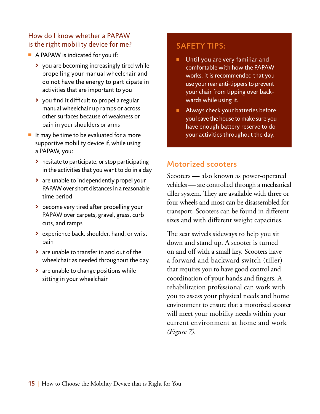### How do I know whether a PAPAW is the right mobility device for me?

- $\blacksquare$  A PAPAW is indicated for you if:
	- **>** you are becoming increasingly tired while propelling your manual wheelchair and do not have the energy to participate in activities that are important to you
	- **>** you find it difficult to propel a regular manual wheelchair up ramps or across other surfaces because of weakness or pain in your shoulders or arms
- $\blacksquare$  It may be time to be evaluated for a more supportive mobility device if, while using a PAPAW, you:
	- **>** hesitate to participate, or stop participating in the activities that you want to do in a day
	- **>** are unable to independently propel your PAPAW over short distances in a reasonable time period
	- **>** become very tired after propelling your PAPAW over carpets, gravel, grass, curb cuts, and ramps
	- **>** experience back, shoulder, hand, or wrist pain
	- **>** are unable to transfer in and out of the wheelchair as needed throughout the day
	- **>** are unable to change positions while sitting in your wheelchair

## safety tips:

- $\blacksquare$  Until you are very familiar and comfortable with how the PAPAW works, it is recommended that you use your rear anti-tippers to prevent your chair from tipping over backwards while using it.
- <sup>n</sup> Always check your batteries before you leave the house to make sure you have enough battery reserve to do your activities throughout the day.

## Motorized scooters

Scooters — also known as power-operated vehicles — are controlled through a mechanical tiller system. They are available with three or four wheels and most can be disassembled for transport. Scooters can be found in different sizes and with different weight capacities.

The seat swivels sideways to help you sit down and stand up. A scooter is turned on and off with a small key. Scooters have a forward and backward switch (tiller) that requires you to have good control and coordination of your hands and fingers. A rehabilitation professional can work with you to assess your physical needs and home environment to ensure that a motorized scooter will meet your mobility needs within your current environment at home and work *(Figure 7).*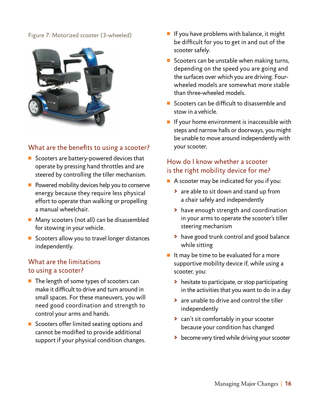#### Figure 7: Motorized scooter (3-wheeled)



#### What are the benefits to using a scooter?

- Scooters are battery-powered devices that operate by pressing hand throttles and are steered by controlling the tiller mechanism.
- $\blacksquare$  Powered mobility devices help you to conserve energy because they require less physical effort to operate than walking or propelling a manual wheelchair.
- $\blacksquare$  Many scooters (not all) can be disassembled for stowing in your vehicle.
- Scooters allow you to travel longer distances independently.

#### What are the limitations to using a scooter?

- $\blacksquare$  The length of some types of scooters can make it difficult to drive and turn around in small spaces. For these maneuvers, you will need good coordination and strength to control your arms and hands.
- Scooters offer limited seating options and cannot be modified to provide additional support if your physical condition changes.
- $\blacksquare$  If you have problems with balance, it might be difficult for you to get in and out of the scooter safely.
- Scooters can be unstable when making turns, depending on the speed you are going and the surfaces over which you are driving. Fourwheeled models are somewhat more stable than three-wheeled models.
- $\blacksquare$  Scooters can be difficult to disassemble and stow in a vehicle.
- $\blacksquare$  If your home environment is inaccessible with steps and narrow halls or doorways, you might be unable to move around independently with your scooter.

#### How do I know whether a scooter is the right mobility device for me?

- $\blacksquare$  A scooter may be indicated for you if you:
	- **>** are able to sit down and stand up from a chair safely and independently
	- **>** have enough strength and coordination in your arms to operate the scooter's tiller steering mechanism
	- **>** have good trunk control and good balance while sitting
- $\blacksquare$  It may be time to be evaluated for a more supportive mobility device if, while using a scooter, you:
	- **>** hesitate to participate, or stop participating in the activities that you want to do in a day
	- **>** are unable to drive and control the tiller independently
	- **>** can't sit comfortably in your scooter because your condition has changed
	- **>** become very tired while driving your scooter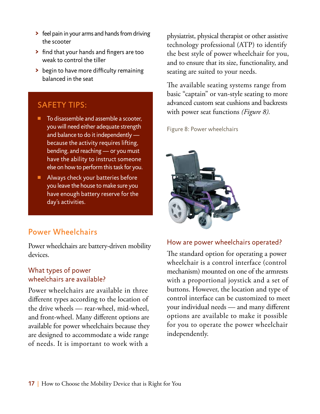- **>** feel pain in your arms and hands from driving the scooter
- **>** find that your hands and fingers are too weak to control the tiller
- **>** begin to have more difficulty remaining balanced in the seat

## SAFETY TIPS:

- To disassemble and assemble a scooter, you will need either adequate strength and balance to do it independently because the activity requires lifting, bending, and reaching — or you must have the ability to instruct someone else on how to perform this task for you.
- $\blacksquare$  Always check your batteries before you leave the house to make sure you have enough battery reserve for the day's activities.

## Power Wheelchairs

Power wheelchairs are battery-driven mobility devices.

#### What types of power wheelchairs are available?

Power wheelchairs are available in three different types according to the location of the drive wheels — rear-wheel, mid-wheel, and front-wheel. Many different options are available for power wheelchairs because they are designed to accommodate a wide range of needs. It is important to work with a

physiatrist, physical therapist or other assistive technology professional (ATP) to identify the best style of power wheelchair for you, and to ensure that its size, functionality, and seating are suited to your needs.

The available seating systems range from basic "captain" or van-style seating to more advanced custom seat cushions and backrests with power seat functions *(Figure 8).*

Figure 8: Power wheelchairs



#### How are power wheelchairs operated?

The standard option for operating a power wheelchair is a control interface (control mechanism) mounted on one of the armrests with a proportional joystick and a set of buttons. However, the location and type of control interface can be customized to meet your individual needs — and many different options are available to make it possible for you to operate the power wheelchair independently.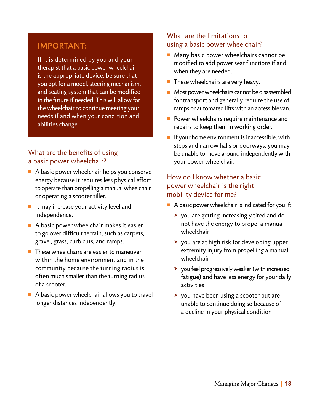## Important:

If it is determined by you and your therapist that a basic power wheelchair is the appropriate device, be sure that you opt for a model, steering mechanism, and seating system that can be modified in the future if needed. This will allow for the wheelchair to continue meeting your needs if and when your condition and abilities change.

### What are the benefits of using a basic power wheelchair?

- $\blacksquare$  A basic power wheelchair helps you conserve energy because it requires less physical effort to operate than propelling a manual wheelchair or operating a scooter tiller.
- $\blacksquare$  It may increase your activity level and independence.
- $\blacksquare$  A basic power wheelchair makes it easier to go over difficult terrain, such as carpets, gravel, grass, curb cuts, and ramps.
- $\blacksquare$  These wheelchairs are easier to maneuver within the home environment and in the community because the turning radius is often much smaller than the turning radius of a scooter.
- $\blacksquare$  A basic power wheelchair allows you to travel longer distances independently.

#### What are the limitations to using a basic power wheelchair?

- $\blacksquare$  Many basic power wheelchairs cannot be modified to add power seat functions if and when they are needed.
- $\blacksquare$  These wheelchairs are very heavy.
- $\blacksquare$  Most power wheelchairs cannot be disassembled for transport and generally require the use of ramps or automated lifts with an accessible van.
- $\blacksquare$  Power wheelchairs require maintenance and repairs to keep them in working order.
- $\blacksquare$  If your home environment is inaccessible, with steps and narrow halls or doorways, you may be unable to move around independently with your power wheelchair.

#### How do I know whether a basic power wheelchair is the right mobility device for me?

- $\blacksquare$  A basic power wheelchair is indicated for you if:
	- **>** you are getting increasingly tired and do not have the energy to propel a manual wheelchair
	- **>** you are at high risk for developing upper extremity injury from propelling a manual wheelchair
	- **>** you feel progressively weaker (with increased fatigue) and have less energy for your daily activities
	- **>** you have been using a scooter but are unable to continue doing so because of a decline in your physical condition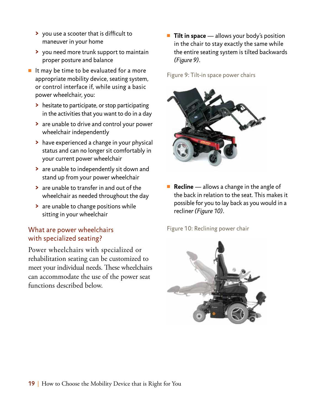- **>** you use a scooter that is difficult to maneuver in your home
- **>** you need more trunk support to maintain proper posture and balance
- $\blacksquare$  It may be time to be evaluated for a more appropriate mobility device, seating system, or control interface if, while using a basic power wheelchair, you:
	- **>** hesitate to participate, or stop participating in the activities that you want to do in a day
	- **>** are unable to drive and control your power wheelchair independently
	- **>** have experienced a change in your physical status and can no longer sit comfortably in your current power wheelchair
	- **>** are unable to independently sit down and stand up from your power wheelchair
	- **>** are unable to transfer in and out of the wheelchair as needed throughout the day
	- **>** are unable to change positions while sitting in your wheelchair

### What are power wheelchairs with specialized seating?

Power wheelchairs with specialized or rehabilitation seating can be customized to meet your individual needs. These wheelchairs can accommodate the use of the power seat functions described below.

**Tilt in space** — allows your body's position in the chair to stay exactly the same while the entire seating system is tilted backwards *(Figure 9).*

Figure 9: Tilt-in space power chairs



■ **Recline** — allows a change in the angle of the back in relation to the seat. This makes it possible for you to lay back as you would in a recline*r (Figure 10).*

Figure 10: Reclining power chair

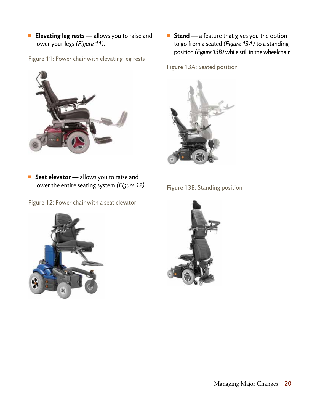**Elevating leg rests** — allows you to raise and lower your legs *(Figure 11).*

Figure 11: Power chair with elevating leg rests



**F** Seat elevator — allows you to raise and lower the entire seating system *(Figure 12).*

Figure 12: Power chair with a seat elevator



■ **Stand** — a feature that gives you the option to go from a seated *(Figure 13A)* to a standing position *(Figure 13B)* while still in the wheelchair.

Figure 13A: Seated position



Figure 13B: Standing position

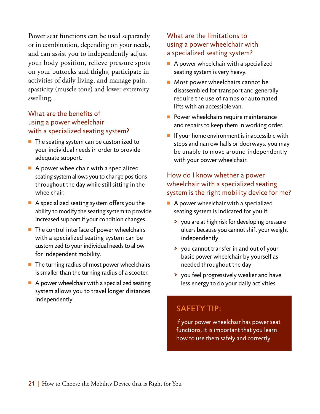Power seat functions can be used separately or in combination, depending on your needs, and can assist you to independently adjust your body position, relieve pressure spots on your buttocks and thighs, participate in activities of daily living, and manage pain, spasticity (muscle tone) and lower extremity swelling.

### What are the benefits of using a power wheelchair with a specialized seating system?

- $\blacksquare$  The seating system can be customized to your individual needs in order to provide adequate support.
- $\blacksquare$  A power wheelchair with a specialized seating system allows you to change positions throughout the day while still sitting in the wheelchair.
- $\blacksquare$  A specialized seating system offers you the ability to modify the seating system to provide increased support if your condition changes.
- $\blacksquare$  The control interface of power wheelchairs with a specialized seating system can be customized to your individual needs to allow for independent mobility.
- $\blacksquare$  The turning radius of most power wheelchairs is smaller than the turning radius of a scooter.
- $\blacksquare$  A power wheelchair with a specialized seating system allows you to travel longer distances independently.

### What are the limitations to using a power wheelchair with a specialized seating system?

- $\blacksquare$  A power wheelchair with a specialized seating system is very heavy.
- $\blacksquare$  Most power wheelchairs cannot be disassembled for transport and generally require the use of ramps or automated lifts with an accessible van.
- $\blacksquare$  Power wheelchairs require maintenance and repairs to keep them in working order.
- $\blacksquare$  If your home environment is inaccessible with steps and narrow halls or doorways, you may be unable to move around independently with your power wheelchair.

## How do I know whether a power wheelchair with a specialized seating system is the right mobility device for me?

- $\blacksquare$  A power wheelchair with a specialized seating system is indicated for you if:
	- **>** you are at high risk for developing pressure ulcers because you cannot shift your weight independently
	- **>** you cannot transfer in and out of your basic power wheelchair by yourself as needed throughout the day
	- **>** you feel progressively weaker and have less energy to do your daily activities

## SAFETY TIP:

If your power wheelchair has power seat functions, it is important that you learn how to use them safely and correctly.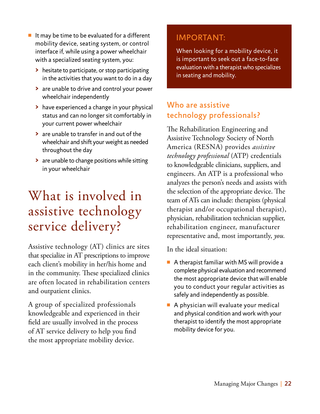- $\blacksquare$  It may be time to be evaluated for a different mobility device, seating system, or control interface if, while using a power wheelchair with a specialized seating system, you:
	- **>** hesitate to participate, or stop participating in the activities that you want to do in a day
	- **>** are unable to drive and control your power wheelchair independently
	- **>** have experienced a change in your physical status and can no longer sit comfortably in your current power wheelchair
	- **>** are unable to transfer in and out of the wheelchair and shift your weight as needed throughout the day
	- **>** are unable to change positions while sitting in your wheelchair

# What is involved in assistive technology service delivery?

Assistive technology (AT) clinics are sites that specialize in AT prescriptions to improve each client's mobility in her/his home and in the community. These specialized clinics are often located in rehabilitation centers and outpatient clinics.

A group of specialized professionals knowledgeable and experienced in their field are usually involved in the process of AT service delivery to help you find the most appropriate mobility device.

## important:

When looking for a mobility device, it is important to seek out a face-to-face evaluation with a therapist who specializes in seating and mobility.

## Who are assistive technology professionals?

The Rehabilitation Engineering and Assistive Technology Society of North America (RESNA) provides *assistive technology professional* (ATP) credentials to knowledgeable clinicians, suppliers, and engineers. An ATP is a professional who analyzes the person's needs and assists with the selection of the appropriate device. The team of ATs can include: therapists (physical therapist and/or occupational therapist), physician, rehabilitation technician supplier, rehabilitation engineer, manufacturer representative and, most importantly, *you.* 

In the ideal situation:

- $\blacksquare$  A therapist familiar with MS will provide a complete physical evaluation and recommend the most appropriate device that will enable you to conduct your regular activities as safely and independently as possible.
- $\blacksquare$  A physician will evaluate your medical and physical condition and work with your therapist to identify the most appropriate mobility device for you.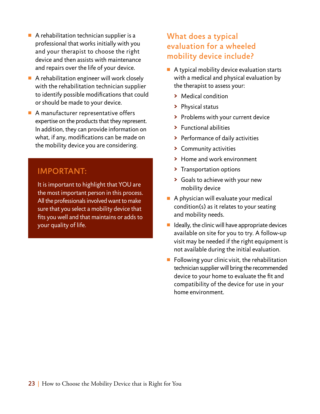- $\blacksquare$  A rehabilitation technician supplier is a professional that works initially with you and your therapist to choose the right device and then assists with maintenance and repairs over the life of your device.
- $\blacksquare$  A rehabilitation engineer will work closely with the rehabilitation technician supplier to identify possible modifications that could or should be made to your device.
- $\blacksquare$  A manufacturer representative offers expertise on the products that they represent. In addition, they can provide information on what, if any, modifications can be made on the mobility device you are considering.

## important:

It is important to highlight that YOU are the most important person in this process. All the professionals involved want to make sure that you select a mobility device that fits you well and that maintains or adds to your quality of life.

## What does a typical evaluation for a wheeled mobility device include?

- $\blacksquare$  A typical mobility device evaluation starts with a medical and physical evaluation by the therapist to assess your:
	- **>** Medical condition
	- **>** Physical status
	- **>** Problems with your current device
	- **>** Functional abilities
	- **>** Performance of daily activities
	- **>** Community activities
	- **>** Home and work environment
	- **>** Transportation options
	- **>** Goals to achieve with your new mobility device
- $\blacksquare$  A physician will evaluate your medical condition(s) as it relates to your seating and mobility needs.
- $\blacksquare$  Ideally, the clinic will have appropriate devices available on site for you to try. A follow-up visit may be needed if the right equipment is not available during the initial evaluation.
- $\blacksquare$  Following your clinic visit, the rehabilitation technician supplier will bring the recommended device to your home to evaluate the fit and compatibility of the device for use in your home environment.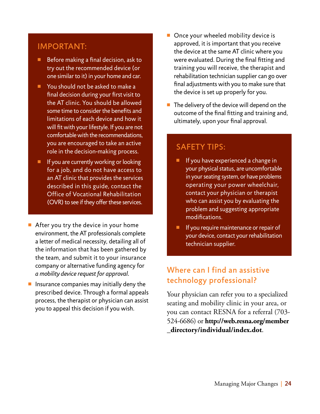### important:

- $\blacksquare$  Before making a final decision, ask to try out the recommended device (or one similar to it) in your home and car.
- **Nou should not be asked to make a** final decision during your first visit to the AT clinic. You should be allowed some time to consider the benefits and limitations of each device and how it will fit with your lifestyle. If you are not comfortable with the recommendations, you are encouraged to take an active role in the decision-making process.
- $\blacksquare$  If you are currently working or looking for a job, and do not have access to an AT clinic that provides the services described in this guide, contact the Office of Vocational Rehabilitation (OVR) to see if they offer these services.
- $\blacksquare$  After you try the device in your home environment, the AT professionals complete a letter of medical necessity, detailing all of the information that has been gathered by the team, and submit it to your insurance company or alternative funding agency for *a mobility device request for approval.*
- $\blacksquare$  Insurance companies may initially deny the prescribed device. Through a formal appeals process, the therapist or physician can assist you to appeal this decision if you wish.
- $\blacksquare$  Once your wheeled mobility device is approved, it is important that you receive the device at the same AT clinic where you were evaluated. During the final fitting and training you will receive, the therapist and rehabilitation technician supplier can go over final adjustments with you to make sure that the device is set up properly for you.
- $\blacksquare$  The delivery of the device will depend on the outcome of the final fitting and training and, ultimately, upon your final approval.

## SAFETY TIPS:

- $\blacksquare$  If you have experienced a change in your physical status, are uncomfortable in your seating system, or have problems operating your power wheelchair, contact your physician or therapist who can assist you by evaluating the problem and suggesting appropriate modifications.
- $\blacksquare$  If you require maintenance or repair of your device, contact your rehabilitation technician supplier.

## Where can I find an assistive technology professional?

Your physician can refer you to a specialized seating and mobility clinic in your area, or you can contact RESNA for a referral (703- 524-6686) or **http://web.resna.org/member \_directory/individual/index.dot**.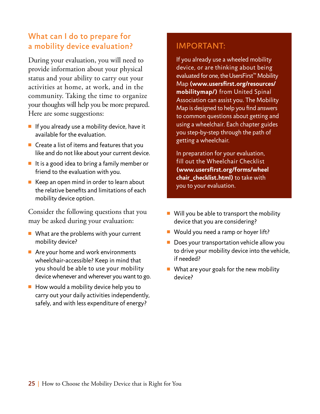## What can I do to prepare for a mobility device evaluation?

During your evaluation, you will need to provide information about your physical status and your ability to carry out your activities at home, at work, and in the community. Taking the time to organize your thoughts will help you be more prepared. Here are some suggestions:

- $\blacksquare$  If you already use a mobility device, have it available for the evaluation.
- $\blacksquare$  Create a list of items and features that you like and do not like about your current device.
- $\blacksquare$  It is a good idea to bring a family member or friend to the evaluation with you.
- $\blacksquare$  Keep an open mind in order to learn about the relative benefits and limitations of each mobility device option.

Consider the following questions that you may be asked during your evaluation:

- $\blacksquare$  What are the problems with your current mobility device?
- $\blacksquare$  Are your home and work environments wheelchair-accessible? Keep in mind that you should be able to use your mobility device whenever and wherever you want to go.
- $\blacksquare$  How would a mobility device help you to carry out your daily activities independently, safely, and with less expenditure of energy?

## important:

If you already use a wheeled mobility device, or are thinking about being evaluated for one, the UsersFirst™ Mobility Map **(www.usersfirst.org/resources/ mobilitymap/)** from United Spinal Association can assist you. The Mobility Map is designed to help you find answers to common questions about getting and using a wheelchair. Each chapter guides you step-by-step through the path of getting a wheelchair.

In preparation for your evaluation, fill out the Wheelchair Checklist **(www.usersfirst.org/forms/wheel chair\_checklist.html)** to take with you to your evaluation.

- $\blacksquare$  Will you be able to transport the mobility device that you are considering?
- Would you need a ramp or hoyer lift?
- $\blacksquare$  Does your transportation vehicle allow you to drive your mobility device into the vehicle, if needed?
- $\blacksquare$  What are your goals for the new mobility device?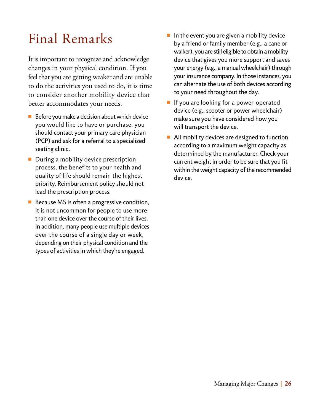# Final Remarks

It is important to recognize and acknowledge changes in your physical condition. If you feel that you are getting weaker and are unable to do the activities you used to do, it is time to consider another mobility device that better accommodates your needs.

- $\blacksquare$  Before you make a decision about which device you would like to have or purchase, you should contact your primary care physician (PCP) and ask for a referral to a specialized seating clinic.
- $\blacksquare$  During a mobility device prescription process, the benefits to your health and quality of life should remain the highest priority. Reimbursement policy should not lead the prescription process.
- $\blacksquare$  Because MS is often a progressive condition, it is not uncommon for people to use more than one device over the course of their lives. In addition, many people use multiple devices over the course of a single day or week, depending on their physical condition and the types of activities in which they're engaged.
- $\blacksquare$  In the event you are given a mobility device by a friend or family member (e.g., a cane or walker), you are still eligible to obtain a mobility device that gives you more support and saves your energy (e.g., a manual wheelchair) through your insurance company. In those instances, you can alternate the use of both devices according to your need throughout the day.
- $\blacksquare$  If you are looking for a power-operated device (e.g., scooter or power wheelchair) make sure you have considered how you will transport the device.
- $\blacksquare$  All mobility devices are designed to function according to a maximum weight capacity as determined by the manufacturer. Check your current weight in order to be sure that you fit within the weight capacity of the recommended device.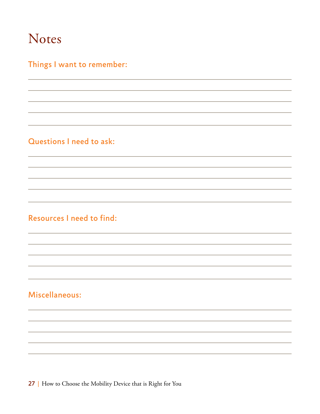# Notes

## Things I want to remember:

## Questions I need to ask:

## Resources I need to find:

## Miscellaneous:

27 | How to Choose the Mobility Device that is Right for You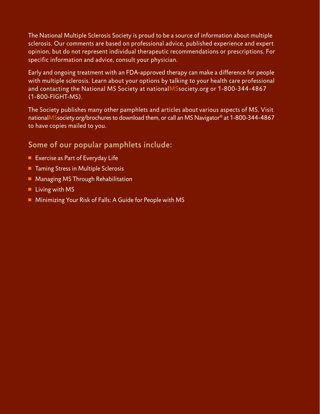The National Multiple Sclerosis Society is proud to be a source of information about multiple sclerosis. Our comments are based on professional advice, published experience and expert opinion, but do not represent individual therapeutic recommendations or prescriptions. For specific information and advice, consult your physician.

Early and ongoing treatment with an FDA-approved therapy can make a difference for people with multiple sclerosis. Learn about your options by talking to your health care professional and contacting the National MS Society at nationalMSsociety.org or 1-800-344-4867 (1-800-FIGHT-MS).

The Society publishes many other pamphlets and articles about various aspects of MS. Visit nationalMSsociety.org/brochures to download them, or call an MS Navigator® at 1-800-344-4867 to have copies mailed to you.

## Some of our popular pamphlets include:

- Exercise as Part of Everyday Life
- Taming Stress in Multiple Sclerosis
- Managing MS Through Rehabilitation
- $\blacksquare$  Living with MS
- Minimizing Your Risk of Falls: A Guide for People with MS